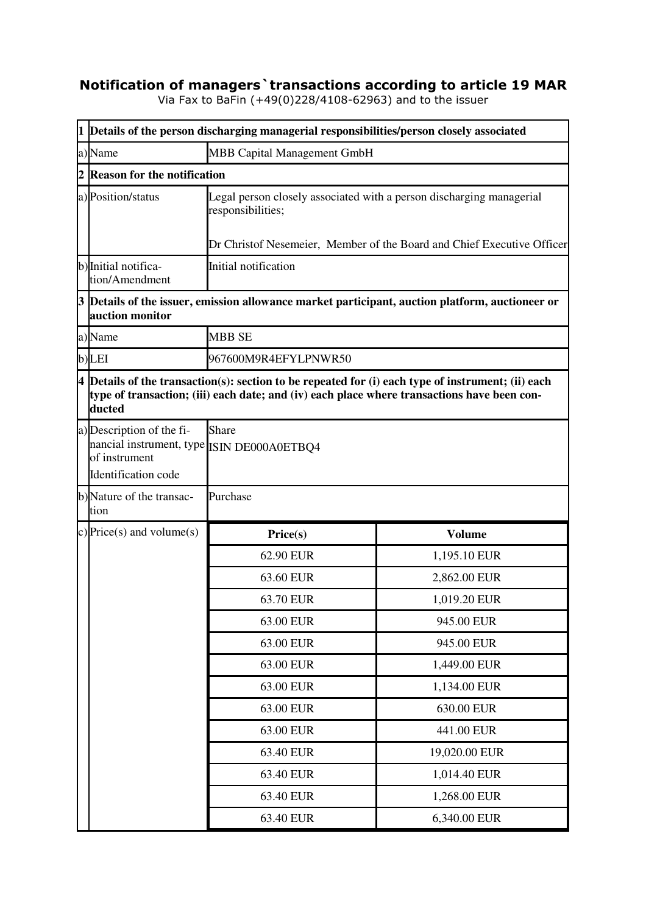## **Notification of managers`transactions according to article 19 MAR**

Via Fax to BaFin (+49(0)228/4108-62963) and to the issuer

|                | 1 Details of the person discharging managerial responsibilities/person closely associated                                                                                                                     |                                                                        |               |  |  |
|----------------|---------------------------------------------------------------------------------------------------------------------------------------------------------------------------------------------------------------|------------------------------------------------------------------------|---------------|--|--|
|                | MBB Capital Management GmbH<br>a) Name                                                                                                                                                                        |                                                                        |               |  |  |
| $\overline{2}$ | <b>Reason for the notification</b>                                                                                                                                                                            |                                                                        |               |  |  |
|                | a) Position/status<br>Legal person closely associated with a person discharging managerial<br>responsibilities;                                                                                               |                                                                        |               |  |  |
|                |                                                                                                                                                                                                               | Dr Christof Nesemeier, Member of the Board and Chief Executive Officer |               |  |  |
|                | b) Initial notifica-<br>tion/Amendment                                                                                                                                                                        | Initial notification                                                   |               |  |  |
|                | $3$ $\vert$ Details of the issuer, emission allowance market participant, auction platform, auctioneer or<br>auction monitor                                                                                  |                                                                        |               |  |  |
|                | a)Name                                                                                                                                                                                                        | <b>MBB SE</b>                                                          |               |  |  |
|                | b)LEI                                                                                                                                                                                                         | 967600M9R4EFYLPNWR50                                                   |               |  |  |
|                | $4$ Details of the transaction(s): section to be repeated for (i) each type of instrument; (ii) each<br>type of transaction; (iii) each date; and (iv) each place where transactions have been con-<br>ducted |                                                                        |               |  |  |
|                | a) Description of the fi-<br>nancial instrument, type ISIN DE000A0ETBQ4<br>of instrument<br>Identification code                                                                                               | <b>Share</b>                                                           |               |  |  |
|                | b)Nature of the transac-<br>tion                                                                                                                                                                              | Purchase                                                               |               |  |  |
|                | c) Price(s) and volume(s)                                                                                                                                                                                     | Price(s)                                                               | <b>Volume</b> |  |  |
|                |                                                                                                                                                                                                               | 62.90 EUR                                                              | 1,195.10 EUR  |  |  |
|                |                                                                                                                                                                                                               | 63.60 EUR                                                              | 2,862.00 EUR  |  |  |
|                |                                                                                                                                                                                                               | 63.70 EUR                                                              | 1,019.20 EUR  |  |  |
|                |                                                                                                                                                                                                               | 63.00 EUR                                                              | 945.00 EUR    |  |  |
|                |                                                                                                                                                                                                               | 63.00 EUR                                                              | 945.00 EUR    |  |  |
|                |                                                                                                                                                                                                               | 63.00 EUR                                                              | 1,449.00 EUR  |  |  |
|                |                                                                                                                                                                                                               | 63.00 EUR                                                              | 1,134.00 EUR  |  |  |
|                |                                                                                                                                                                                                               | 63.00 EUR                                                              | 630.00 EUR    |  |  |
|                |                                                                                                                                                                                                               | 63.00 EUR                                                              | 441.00 EUR    |  |  |
|                |                                                                                                                                                                                                               | 63.40 EUR                                                              | 19,020.00 EUR |  |  |
|                |                                                                                                                                                                                                               | 63.40 EUR                                                              | 1,014.40 EUR  |  |  |
|                |                                                                                                                                                                                                               | 63.40 EUR                                                              | 1,268.00 EUR  |  |  |
|                |                                                                                                                                                                                                               | 63.40 EUR                                                              | 6,340.00 EUR  |  |  |